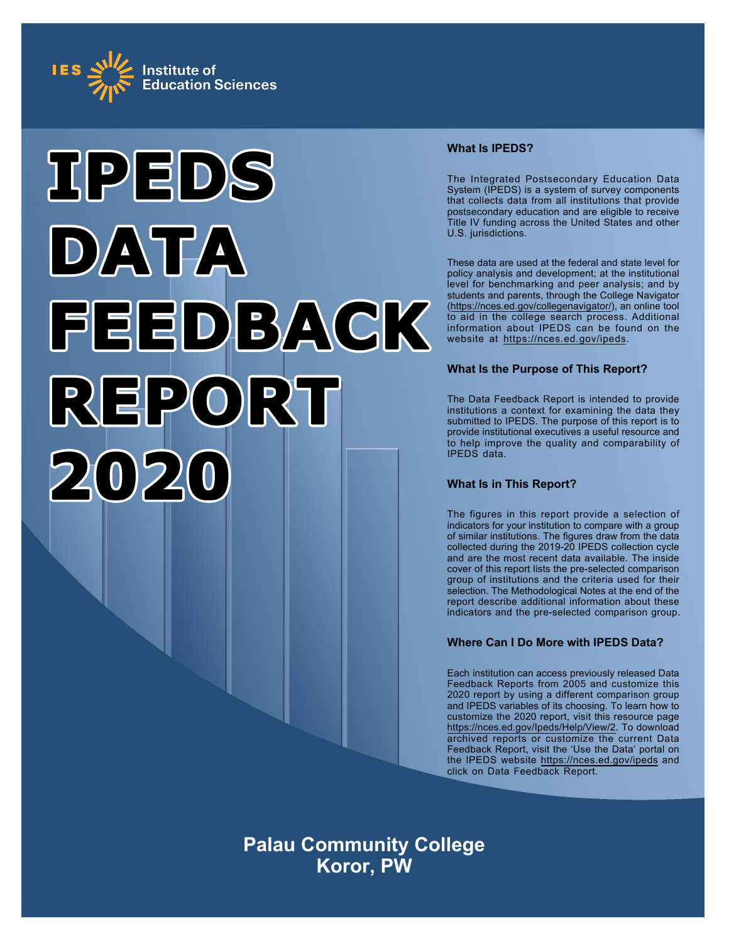



## **What Is IPEDS?**

The Integrated Postsecondary Education Data System (IPEDS) is a system of survey components that collects data from all institutions that provide postsecondary education and are eligible to receive Title IV funding across the United States and other U.S. jurisdictions.

These data are used at the federal and state level for policy analysis and development; at the institutional level for benchmarking and peer analysis; and by students and parents, through the College Navigator ([https://nces.ed.gov/collegenavigator/\)](https://nces.ed.gov/collegenavigator/), an online tool to aid in the college search process. Additional information about IPEDS can be found on the website at<https://nces.ed.gov/ipeds>.

## **What Is the Purpose of This Report?**

The Data Feedback Report is intended to provide institutions a context for examining the data they submitted to IPEDS. The purpose of this report is to provide institutional executives a useful resource and to help improve the quality and comparability of IPEDS data.

## **What Is in This Report?**

The figures in this report provide a selection of indicators for your institution to compare with a group of similar institutions. The figures draw from the data collected during the 2019-20 IPEDS collection cycle and are the most recent data available. The inside cover of this report lists the pre-selected comparison group of institutions and the criteria used for their selection. The Methodological Notes at the end of the report describe additional information about these indicators and the pre-selected comparison group.

## **Where Can I Do More with IPEDS Data?**

Each institution can access previously released Data Feedback Reports from 2005 and customize this 2020 report by using a different comparison group and IPEDS variables of its choosing. To learn how to customize the 2020 report, visit this resource page <https://nces.ed.gov/Ipeds/Help/View/2>. To download archived reports or customize the current Data Feedback Report, visit the 'Use the Data' portal on the IPEDS website<https://nces.ed.gov/ipeds> and click on Data Feedback Report.

**Palau Community College Koror, PW**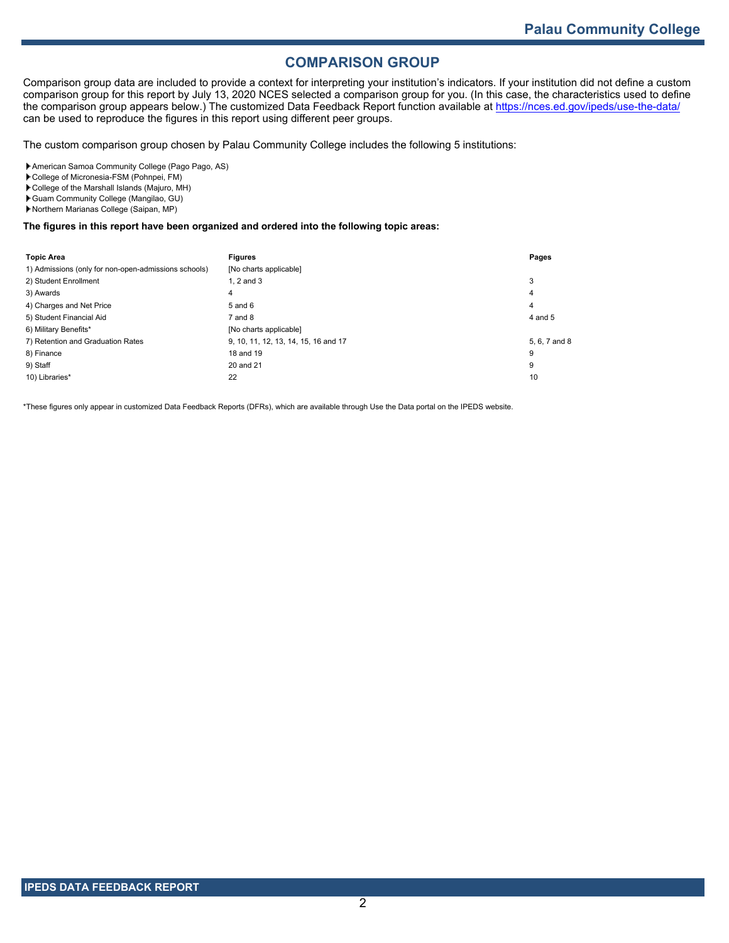## **COMPARISON GROUP**

Comparison group data are included to provide a context for interpreting your institution's indicators. If your institution did not define a custom comparison group for this report by July 13, 2020 NCES selected a comparison group for you. (In this case, the characteristics used to define the comparison group appears below.) The customized Data Feedback Report function available at<https://nces.ed.gov/ipeds/use-the-data/> can be used to reproduce the figures in this report using different peer groups.

The custom comparison group chosen by Palau Community College includes the following 5 institutions:

American Samoa Community College (Pago Pago, AS)

College of Micronesia-FSM (Pohnpei, FM)

College of the Marshall Islands (Majuro, MH)

Guam Community College (Mangilao, GU)

Northern Marianas College (Saipan, MP)

#### **The figures in this report have been organized and ordered into the following topic areas:**

| <b>Topic Area</b>                                    | <b>Figures</b>                       | Pages         |
|------------------------------------------------------|--------------------------------------|---------------|
| 1) Admissions (only for non-open-admissions schools) | [No charts applicable]               |               |
| 2) Student Enrollment                                | 1. $2$ and $3$                       | 3             |
| 3) Awards                                            | 4                                    | 4             |
| 4) Charges and Net Price                             | 5 and 6                              | 4             |
| 5) Student Financial Aid                             | $7$ and $8$                          | 4 and 5       |
| 6) Military Benefits*                                | [No charts applicable]               |               |
| 7) Retention and Graduation Rates                    | 9, 10, 11, 12, 13, 14, 15, 16 and 17 | 5, 6, 7 and 8 |
| 8) Finance                                           | 18 and 19                            | 9             |
| 9) Staff                                             | 20 and 21                            | 9             |
| 10) Libraries*                                       | 22                                   | 10            |

\*These figures only appear in customized Data Feedback Reports (DFRs), which are available through Use the Data portal on the IPEDS website.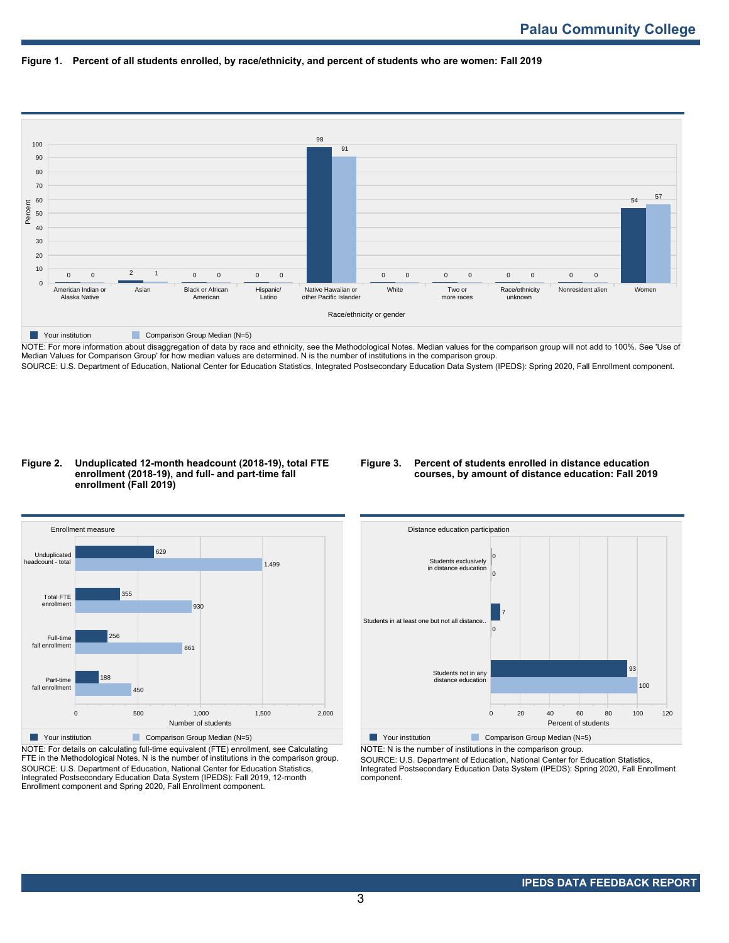**Figure 1. Percent of all students enrolled, by race/ethnicity, and percent of students who are women: Fall 2019**



NOTE: For more information about disaggregation of data by race and ethnicity, see the Methodological Notes. Median values for the comparison group will not add to 100%. See 'Use of Median Values for Comparison Group' for how median values are determined. N is the number of institutions in the comparison group. SOURCE: U.S. Department of Education, National Center for Education Statistics, Integrated Postsecondary Education Data System (IPEDS): Spring 2020, Fall Enrollment component.

#### **Figure 2. Unduplicated 12-month headcount (2018-19), total FTE enrollment (2018-19), and full- and part-time fall enrollment (Fall 2019)**

## **Figure 3. Percent of students enrolled in distance education courses, by amount of distance education: Fall 2019**



NOTE: For details on calculating full-time equivalent (FTE) enrollment, see Calculating FTE in the Methodological Notes. N is the number of institutions in the comparison group. SOURCE: U.S. Department of Education, National Center for Education Statistics, Integrated Postsecondary Education Data System (IPEDS): Fall 2019, 12-month Enrollment component and Spring 2020, Fall Enrollment component.



NOTE: N is the number of institutions in the comparison group.

SOURCE: U.S. Department of Education, National Center for Education Statistics, Integrated Postsecondary Education Data System (IPEDS): Spring 2020, Fall Enrollment component.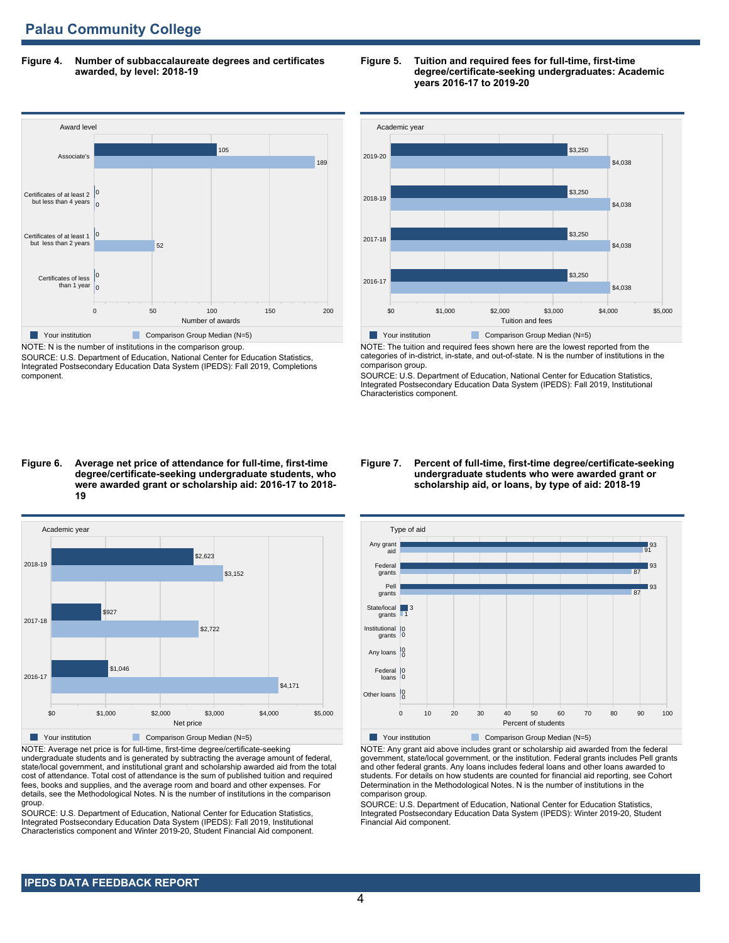# **Palau Community College**

**Figure 4. Number of subbaccalaureate degrees and certificates awarded, by level: 2018-19**



SOURCE: U.S. Department of Education, National Center for Education Statistics, Integrated Postsecondary Education Data System (IPEDS): Fall 2019, Completions component.

## **Figure 5. Tuition and required fees for full-time, first-time degree/certificate-seeking undergraduates: Academic years 2016-17 to 2019-20**



NOTE: The tuition and required fees shown here are the lowest reported from the categories of in-district, in-state, and out-of-state. N is the number of institutions in the comparison group.

SOURCE: U.S. Department of Education, National Center for Education Statistics, Integrated Postsecondary Education Data System (IPEDS): Fall 2019, Institutional Characteristics component.

#### **Figure 6. Average net price of attendance for full-time, first-time degree/certificate-seeking undergraduate students, who were awarded grant or scholarship aid: 2016-17 to 2018- 19**



NOTE: Average net price is for full-time, first-time degree/certificate-seeking undergraduate students and is generated by subtracting the average amount of federal, state/local government, and institutional grant and scholarship awarded aid from the total cost of attendance. Total cost of attendance is the sum of published tuition and required fees, books and supplies, and the average room and board and other expenses. For details, see the Methodological Notes. N is the number of institutions in the comparison group.

SOURCE: U.S. Department of Education, National Center for Education Statistics, Integrated Postsecondary Education Data System (IPEDS): Fall 2019, Institutional Characteristics component and Winter 2019-20, Student Financial Aid component.

#### **Figure 7. Percent of full-time, first-time degree/certificate-seeking undergraduate students who were awarded grant or scholarship aid, or loans, by type of aid: 2018-19**



NOTE: Any grant aid above includes grant or scholarship aid awarded from the federal government, state/local government, or the institution. Federal grants includes Pell grants and other federal grants. Any loans includes federal loans and other loans awarded to students. For details on how students are counted for financial aid reporting, see Cohort Determination in the Methodological Notes. N is the number of institutions in the comparison group.

SOURCE: U.S. Department of Education, National Center for Education Statistics, Integrated Postsecondary Education Data System (IPEDS): Winter 2019-20, Student Financial Aid component.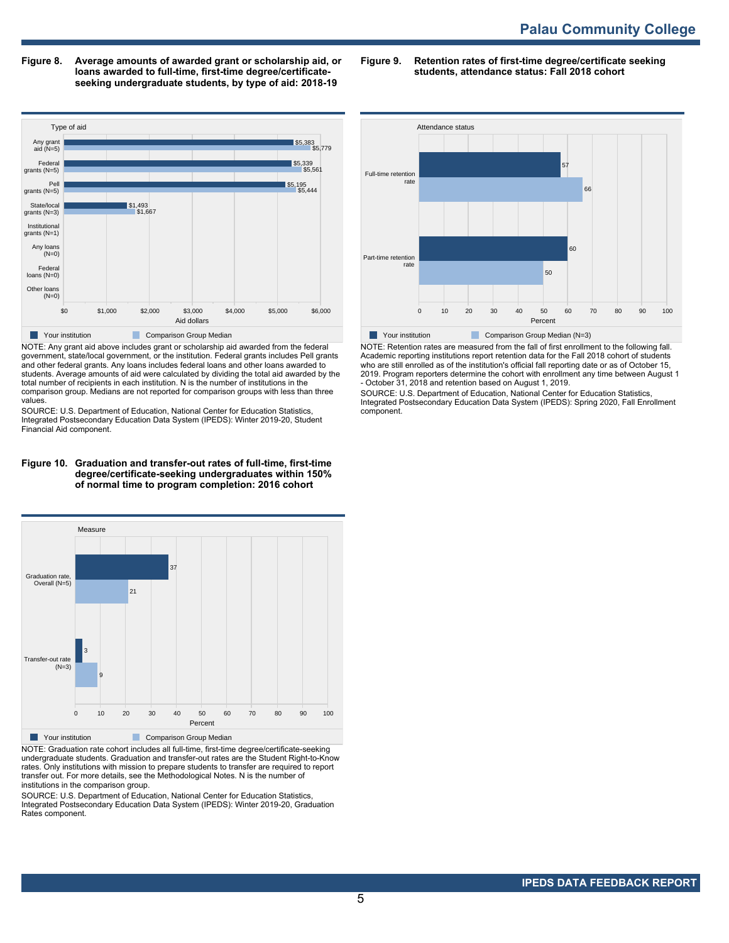**Figure 8. Average amounts of awarded grant or scholarship aid, or loans awarded to full-time, first-time degree/certificateseeking undergraduate students, by type of aid: 2018-19**

**Figure 9. Retention rates of first-time degree/certificate seeking students, attendance status: Fall 2018 cohort**



NOTE: Any grant aid above includes grant or scholarship aid awarded from the federal government, state/local government, or the institution. Federal grants includes Pell grants and other federal grants. Any loans includes federal loans and other loans awarded to students. Average amounts of aid were calculated by dividing the total aid awarded by the total number of recipients in each institution. N is the number of institutions in the comparison group. Medians are not reported for comparison groups with less than three values.

SOURCE: U.S. Department of Education, National Center for Education Statistics, Integrated Postsecondary Education Data System (IPEDS): Winter 2019-20, Student Financial Aid component.

#### **Figure 10. Graduation and transfer-out rates of full-time, first-time degree/certificate-seeking undergraduates within 150% of normal time to program completion: 2016 cohort**



NOTE: Graduation rate cohort includes all full-time, first-time degree/certificate-seeking undergraduate students. Graduation and transfer-out rates are the Student Right-to-Know rates. Only institutions with mission to prepare students to transfer are required to report transfer out. For more details, see the Methodological Notes. N is the number of institutions in the comparison group.

SOURCE: U.S. Department of Education, National Center for Education Statistics, Integrated Postsecondary Education Data System (IPEDS): Winter 2019-20, Graduation Rates component.



NOTE: Retention rates are measured from the fall of first enrollment to the following fall. Academic reporting institutions report retention data for the Fall 2018 cohort of students who are still enrolled as of the institution's official fall reporting date or as of October 15, 2019. Program reporters determine the cohort with enrollment any time between August 1 - October 31, 2018 and retention based on August 1, 2019.

SOURCE: U.S. Department of Education, National Center for Education Statistics, Integrated Postsecondary Education Data System (IPEDS): Spring 2020, Fall Enrollment component.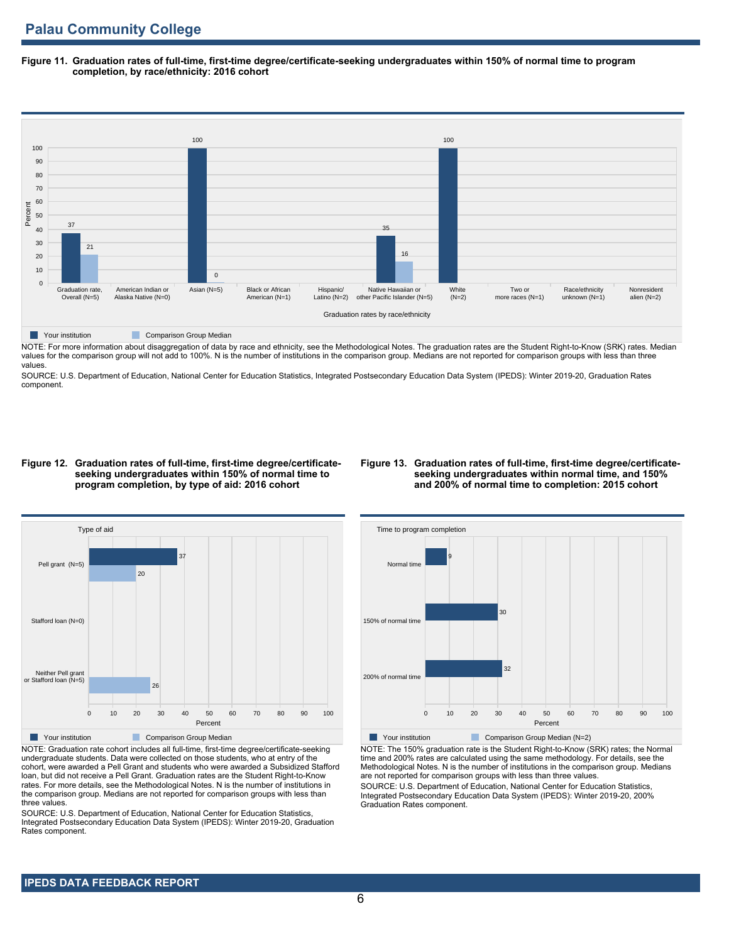**Figure 11. Graduation rates of full-time, first-time degree/certificate-seeking undergraduates within 150% of normal time to program completion, by race/ethnicity: 2016 cohort**



NOTE: For more information about disaggregation of data by race and ethnicity, see the Methodological Notes. The graduation rates are the Student Right-to-Know (SRK) rates. Median values for the comparison group will not add to 100%. N is the number of institutions in the comparison group. Medians are not reported for comparison groups with less than three values.

SOURCE: U.S. Department of Education, National Center for Education Statistics, Integrated Postsecondary Education Data System (IPEDS): Winter 2019-20, Graduation Rates component.

#### **Figure 12. Graduation rates of full-time, first-time degree/certificateseeking undergraduates within 150% of normal time to program completion, by type of aid: 2016 cohort**

## **Figure 13. Graduation rates of full-time, first-time degree/certificateseeking undergraduates within normal time, and 150% and 200% of normal time to completion: 2015 cohort**



NOTE: Graduation rate cohort includes all full-time, first-time degree/certificate-seeking undergraduate students. Data were collected on those students, who at entry of the cohort, were awarded a Pell Grant and students who were awarded a Subsidized Stafford loan, but did not receive a Pell Grant. Graduation rates are the Student Right-to-Know rates. For more details, see the Methodological Notes. N is the number of institutions in the comparison group. Medians are not reported for comparison groups with less than three values.

SOURCE: U.S. Department of Education, National Center for Education Statistics, Integrated Postsecondary Education Data System (IPEDS): Winter 2019-20, Graduation Rates component.



NOTE: The 150% graduation rate is the Student Right-to-Know (SRK) rates; the Normal time and 200% rates are calculated using the same methodology. For details, see the Methodological Notes. N is the number of institutions in the comparison group. Medians are not reported for comparison groups with less than three values. SOURCE: U.S. Department of Education, National Center for Education Statistics, Integrated Postsecondary Education Data System (IPEDS): Winter 2019-20, 200% Graduation Rates component.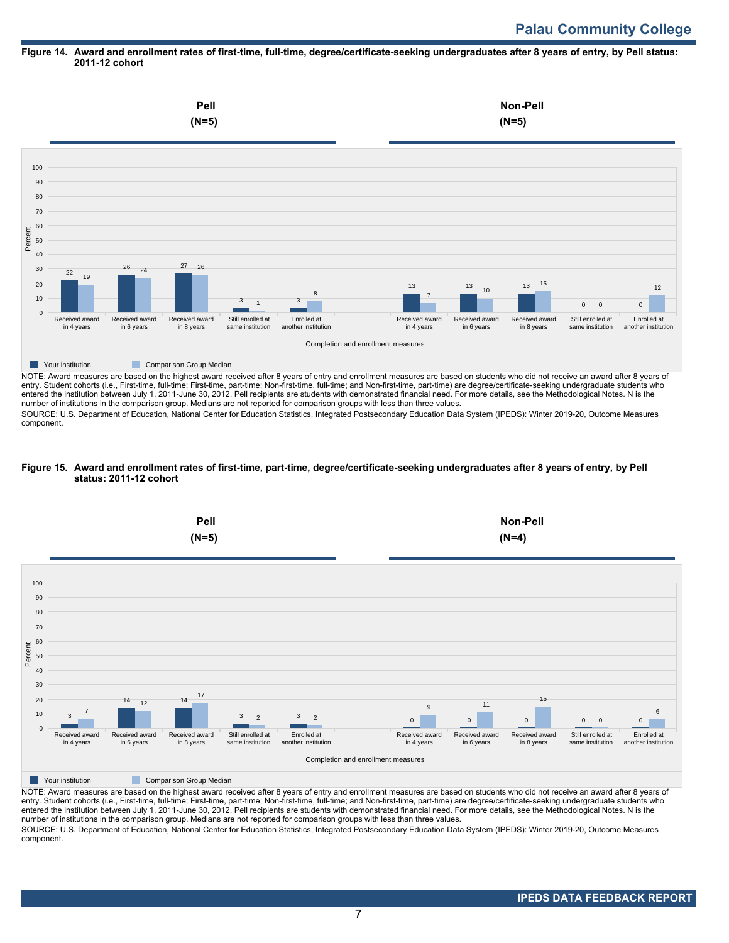## **Figure 14. Award and enrollment rates of first-time, full-time, degree/certificate-seeking undergraduates after 8 years of entry, by Pell status: 2011-12 cohort**



NOTE: Award measures are based on the highest award received after 8 years of entry and enrollment measures are based on students who did not receive an award after 8 years of entry. Student cohorts (i.e., First-time, full-time; First-time, part-time; Non-first-time, full-time; and Non-first-time, part-time) are degree/certificate-seeking undergraduate students who entered the institution between July 1, 2011-June 30, 2012. Pell recipients are students with demonstrated financial need. For more details, see the Methodological Notes. N is the number of institutions in the comparison group. Medians are not reported for comparison groups with less than three values.

SOURCE: U.S. Department of Education, National Center for Education Statistics, Integrated Postsecondary Education Data System (IPEDS): Winter 2019-20, Outcome Measures component.

## **Figure 15. Award and enrollment rates of first-time, part-time, degree/certificate-seeking undergraduates after 8 years of entry, by Pell status: 2011-12 cohort**



NOTE: Award measures are based on the highest award received after 8 years of entry and enrollment measures are based on students who did not receive an award after 8 years of entry. Student cohorts (i.e., First-time, full-time; First-time, part-time; Non-first-time, full-time; and Non-first-time, part-time) are degree/certificate-seeking undergraduate students who entered the institution between July 1, 2011-June 30, 2012. Pell recipients are students with demonstrated financial need. For more details, see the Methodological Notes. N is the number of institutions in the comparison group. Medians are not reported for comparison groups with less than three values. SOURCE: U.S. Department of Education, National Center for Education Statistics, Integrated Postsecondary Education Data System (IPEDS): Winter 2019-20, Outcome Measures component.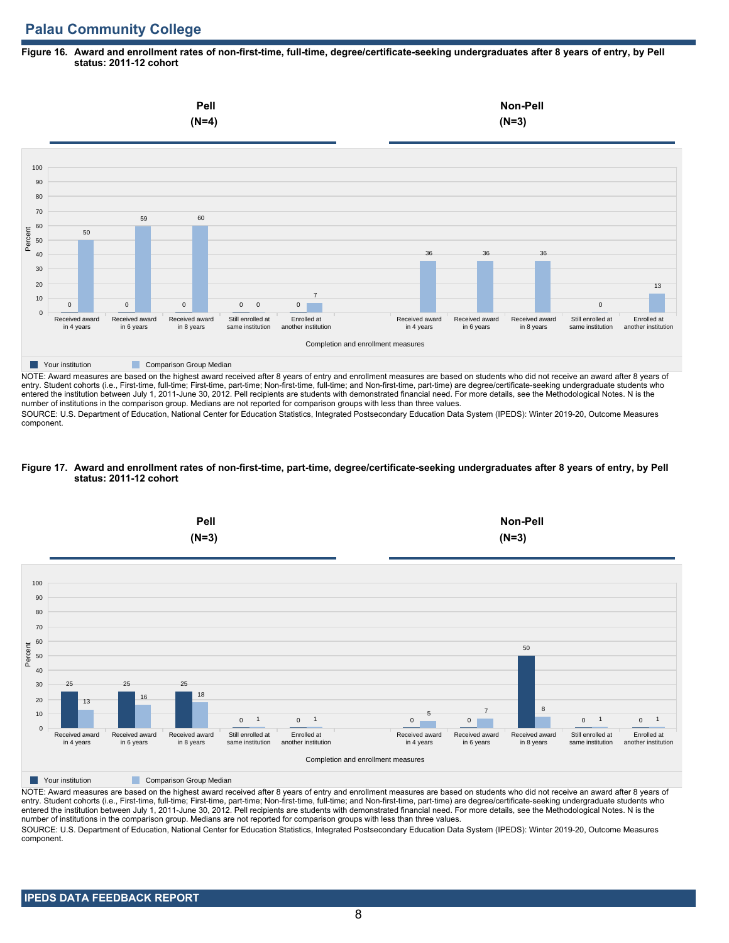# **Palau Community College**

## **Figure 16. Award and enrollment rates of non-first-time, full-time, degree/certificate-seeking undergraduates after 8 years of entry, by Pell status: 2011-12 cohort**



NOTE: Award measures are based on the highest award received after 8 years of entry and enrollment measures are based on students who did not receive an award after 8 years of entry. Student cohorts (i.e., First-time, full-time; First-time, part-time; Non-first-time, full-time; and Non-first-time, part-time) are degree/certificate-seeking undergraduate students who entered the institution between July 1, 2011-June 30, 2012. Pell recipients are students with demonstrated financial need. For more details, see the Methodological Notes. N is the number of institutions in the comparison group. Medians are not reported for comparison groups with less than three values.

SOURCE: U.S. Department of Education, National Center for Education Statistics, Integrated Postsecondary Education Data System (IPEDS): Winter 2019-20, Outcome Measures component.

#### **Figure 17. Award and enrollment rates of non-first-time, part-time, degree/certificate-seeking undergraduates after 8 years of entry, by Pell status: 2011-12 cohort**



NOTE: Award measures are based on the highest award received after 8 years of entry and enrollment measures are based on students who did not receive an award after 8 years of entry. Student cohorts (i.e., First-time, full-time; First-time, part-time; Non-first-time, full-time; and Non-first-time, part-time) are degree/certificate-seeking undergraduate students who entered the institution between July 1, 2011-June 30, 2012. Pell recipients are students with demonstrated financial need. For more details, see the Methodological Notes. N is the number of institutions in the comparison group. Medians are not reported for comparison groups with less than three values. SOURCE: U.S. Department of Education, National Center for Education Statistics, Integrated Postsecondary Education Data System (IPEDS): Winter 2019-20, Outcome Measures component.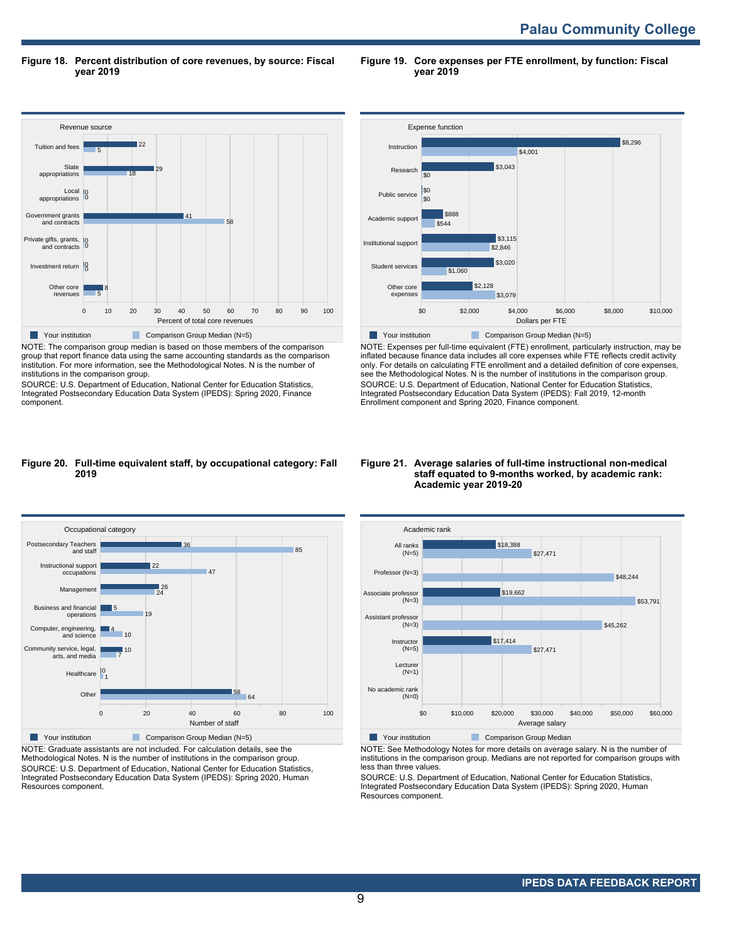**Palau Community College** 

**Figure 18. Percent distribution of core revenues, by source: Fiscal year 2019**

**Figure 19. Core expenses per FTE enrollment, by function: Fiscal year 2019**



NOTE: The comparison group median is based on those members of the comparison group that report finance data using the same accounting standards as the comparison institution. For more information, see the Methodological Notes. N is the number of institutions in the comparison group.

SOURCE: U.S. Department of Education, National Center for Education Statistics, Integrated Postsecondary Education Data System (IPEDS): Spring 2020, Finance component.



NOTE: Expenses per full-time equivalent (FTE) enrollment, particularly instruction, may be inflated because finance data includes all core expenses while FTE reflects credit activity only. For details on calculating FTE enrollment and a detailed definition of core expenses, see the Methodological Notes. N is the number of institutions in the comparison group. SOURCE: U.S. Department of Education, National Center for Education Statistics, Integrated Postsecondary Education Data System (IPEDS): Fall 2019, 12-month Enrollment component and Spring 2020, Finance component.

#### **Figure 20. Full-time equivalent staff, by occupational category: Fall 2019**



NOTE: Graduate assistants are not included. For calculation details, see the Methodological Notes. N is the number of institutions in the comparison group. SOURCE: U.S. Department of Education, National Center for Education Statistics, Integrated Postsecondary Education Data System (IPEDS): Spring 2020, Human Resources component.

#### **Figure 21. Average salaries of full-time instructional non-medical staff equated to 9-months worked, by academic rank: Academic year 2019-20**



NOTE: See Methodology Notes for more details on average salary. N is the number of institutions in the comparison group. Medians are not reported for comparison groups with less than three values.

SOURCE: U.S. Department of Education, National Center for Education Statistics, Integrated Postsecondary Education Data System (IPEDS): Spring 2020, Human Resources component.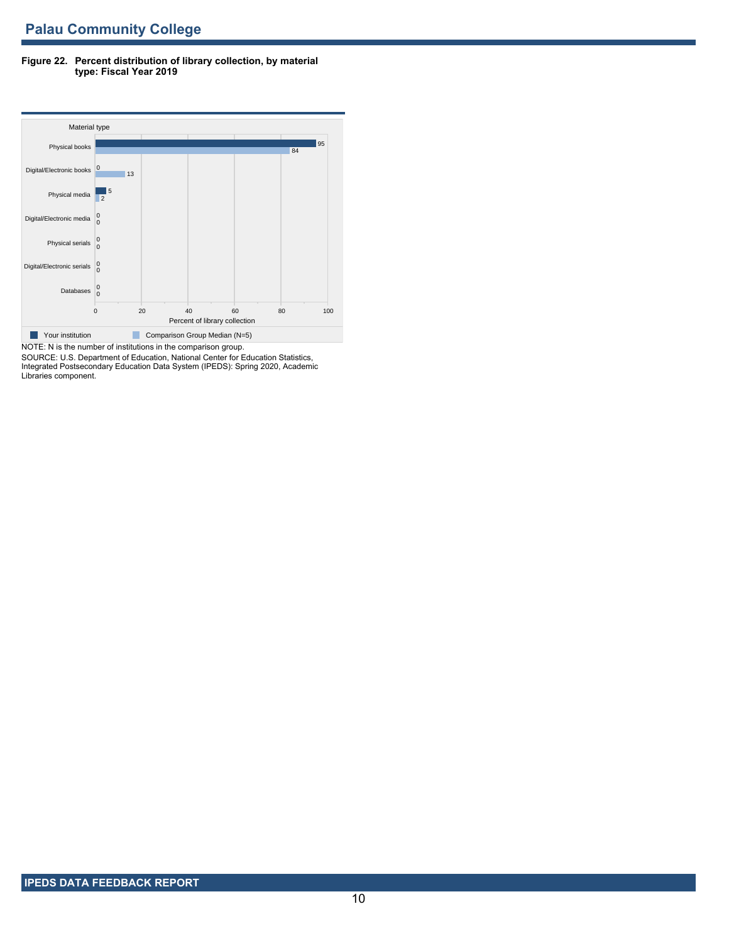## **Figure 22. Percent distribution of library collection, by material type: Fiscal Year 2019**



SOURCE: U.S. Department of Education, National Center for Education Statistics, Integrated Postsecondary Education Data System (IPEDS): Spring 2020, Academic Libraries component.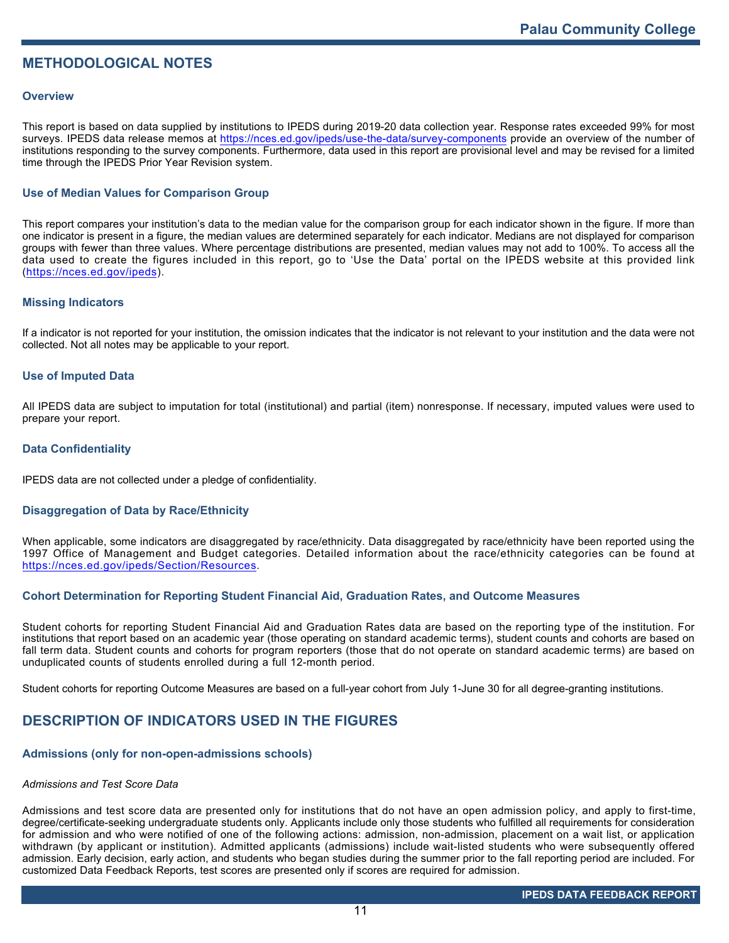## **METHODOLOGICAL NOTES**

## **Overview**

This report is based on data supplied by institutions to IPEDS during 2019-20 data collection year. Response rates exceeded 99% for most surveys. IPEDS data release memos at <https://nces.ed.gov/ipeds/use-the-data/survey-components> provide an overview of the number of institutions responding to the survey components. Furthermore, data used in this report are provisional level and may be revised for a limited time through the IPEDS Prior Year Revision system.

## **Use of Median Values for Comparison Group**

This report compares your institution's data to the median value for the comparison group for each indicator shown in the figure. If more than one indicator is present in a figure, the median values are determined separately for each indicator. Medians are not displayed for comparison groups with fewer than three values. Where percentage distributions are presented, median values may not add to 100%. To access all the data used to create the figures included in this report, go to 'Use the Data' portal on the IPEDS website at this provided link (<https://nces.ed.gov/ipeds>).

## **Missing Indicators**

If a indicator is not reported for your institution, the omission indicates that the indicator is not relevant to your institution and the data were not collected. Not all notes may be applicable to your report.

## **Use of Imputed Data**

All IPEDS data are subject to imputation for total (institutional) and partial (item) nonresponse. If necessary, imputed values were used to prepare your report.

## **Data Confidentiality**

IPEDS data are not collected under a pledge of confidentiality.

## **Disaggregation of Data by Race/Ethnicity**

When applicable, some indicators are disaggregated by race/ethnicity. Data disaggregated by race/ethnicity have been reported using the 1997 Office of Management and Budget categories. Detailed information about the race/ethnicity categories can be found at <https://nces.ed.gov/ipeds/Section/Resources>.

## **Cohort Determination for Reporting Student Financial Aid, Graduation Rates, and Outcome Measures**

Student cohorts for reporting Student Financial Aid and Graduation Rates data are based on the reporting type of the institution. For institutions that report based on an academic year (those operating on standard academic terms), student counts and cohorts are based on fall term data. Student counts and cohorts for program reporters (those that do not operate on standard academic terms) are based on unduplicated counts of students enrolled during a full 12-month period.

Student cohorts for reporting Outcome Measures are based on a full-year cohort from July 1-June 30 for all degree-granting institutions.

## **DESCRIPTION OF INDICATORS USED IN THE FIGURES**

## **Admissions (only for non-open-admissions schools)**

## *Admissions and Test Score Data*

Admissions and test score data are presented only for institutions that do not have an open admission policy, and apply to first-time, degree/certificate-seeking undergraduate students only. Applicants include only those students who fulfilled all requirements for consideration for admission and who were notified of one of the following actions: admission, non-admission, placement on a wait list, or application withdrawn (by applicant or institution). Admitted applicants (admissions) include wait-listed students who were subsequently offered admission. Early decision, early action, and students who began studies during the summer prior to the fall reporting period are included. For customized Data Feedback Reports, test scores are presented only if scores are required for admission.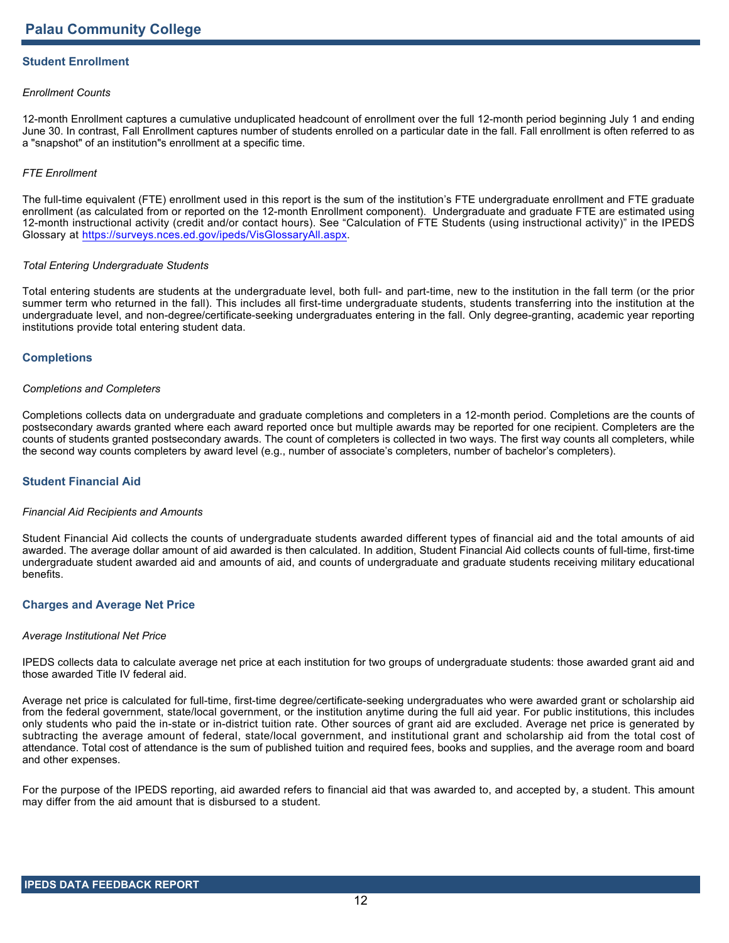## **Student Enrollment**

## *Enrollment Counts*

12-month Enrollment captures a cumulative unduplicated headcount of enrollment over the full 12-month period beginning July 1 and ending June 30. In contrast, Fall Enrollment captures number of students enrolled on a particular date in the fall. Fall enrollment is often referred to as a "snapshot" of an institution"s enrollment at a specific time.

## *FTE Enrollment*

The full-time equivalent (FTE) enrollment used in this report is the sum of the institution's FTE undergraduate enrollment and FTE graduate enrollment (as calculated from or reported on the 12-month Enrollment component). Undergraduate and graduate FTE are estimated using 12-month instructional activity (credit and/or contact hours). See "Calculation of FTE Students (using instructional activity)" in the IPEDS Glossary at <https://surveys.nces.ed.gov/ipeds/VisGlossaryAll.aspx>.

## *Total Entering Undergraduate Students*

Total entering students are students at the undergraduate level, both full- and part-time, new to the institution in the fall term (or the prior summer term who returned in the fall). This includes all first-time undergraduate students, students transferring into the institution at the undergraduate level, and non-degree/certificate-seeking undergraduates entering in the fall. Only degree-granting, academic year reporting institutions provide total entering student data.

## **Completions**

#### *Completions and Completers*

Completions collects data on undergraduate and graduate completions and completers in a 12-month period. Completions are the counts of postsecondary awards granted where each award reported once but multiple awards may be reported for one recipient. Completers are the counts of students granted postsecondary awards. The count of completers is collected in two ways. The first way counts all completers, while the second way counts completers by award level (e.g., number of associate's completers, number of bachelor's completers).

## **Student Financial Aid**

#### *Financial Aid Recipients and Amounts*

Student Financial Aid collects the counts of undergraduate students awarded different types of financial aid and the total amounts of aid awarded. The average dollar amount of aid awarded is then calculated. In addition, Student Financial Aid collects counts of full-time, first-time undergraduate student awarded aid and amounts of aid, and counts of undergraduate and graduate students receiving military educational benefits.

## **Charges and Average Net Price**

## *Average Institutional Net Price*

IPEDS collects data to calculate average net price at each institution for two groups of undergraduate students: those awarded grant aid and those awarded Title IV federal aid.

Average net price is calculated for full-time, first-time degree/certificate-seeking undergraduates who were awarded grant or scholarship aid from the federal government, state/local government, or the institution anytime during the full aid year. For public institutions, this includes only students who paid the in-state or in-district tuition rate. Other sources of grant aid are excluded. Average net price is generated by subtracting the average amount of federal, state/local government, and institutional grant and scholarship aid from the total cost of attendance. Total cost of attendance is the sum of published tuition and required fees, books and supplies, and the average room and board and other expenses.

For the purpose of the IPEDS reporting, aid awarded refers to financial aid that was awarded to, and accepted by, a student. This amount may differ from the aid amount that is disbursed to a student.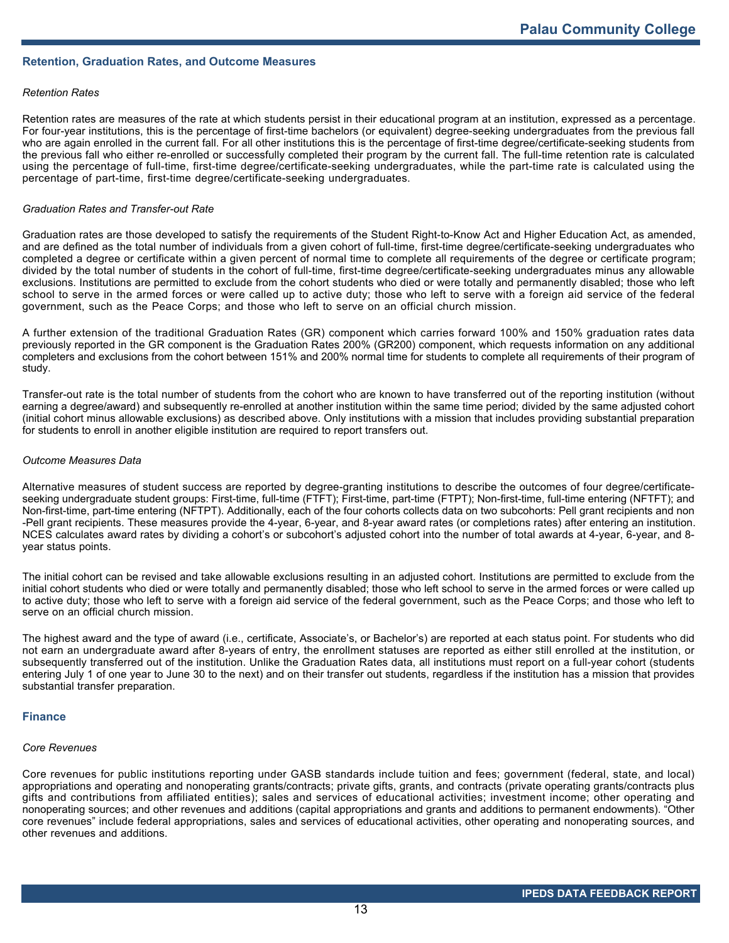## **Retention, Graduation Rates, and Outcome Measures**

## *Retention Rates*

Retention rates are measures of the rate at which students persist in their educational program at an institution, expressed as a percentage. For four-year institutions, this is the percentage of first-time bachelors (or equivalent) degree-seeking undergraduates from the previous fall who are again enrolled in the current fall. For all other institutions this is the percentage of first-time degree/certificate-seeking students from the previous fall who either re-enrolled or successfully completed their program by the current fall. The full-time retention rate is calculated using the percentage of full-time, first-time degree/certificate-seeking undergraduates, while the part-time rate is calculated using the percentage of part-time, first-time degree/certificate-seeking undergraduates.

#### *Graduation Rates and Transfer-out Rate*

Graduation rates are those developed to satisfy the requirements of the Student Right-to-Know Act and Higher Education Act, as amended, and are defined as the total number of individuals from a given cohort of full-time, first-time degree/certificate-seeking undergraduates who completed a degree or certificate within a given percent of normal time to complete all requirements of the degree or certificate program; divided by the total number of students in the cohort of full-time, first-time degree/certificate-seeking undergraduates minus any allowable exclusions. Institutions are permitted to exclude from the cohort students who died or were totally and permanently disabled; those who left school to serve in the armed forces or were called up to active duty; those who left to serve with a foreign aid service of the federal government, such as the Peace Corps; and those who left to serve on an official church mission.

A further extension of the traditional Graduation Rates (GR) component which carries forward 100% and 150% graduation rates data previously reported in the GR component is the Graduation Rates 200% (GR200) component, which requests information on any additional completers and exclusions from the cohort between 151% and 200% normal time for students to complete all requirements of their program of study.

Transfer-out rate is the total number of students from the cohort who are known to have transferred out of the reporting institution (without earning a degree/award) and subsequently re-enrolled at another institution within the same time period; divided by the same adjusted cohort (initial cohort minus allowable exclusions) as described above. Only institutions with a mission that includes providing substantial preparation for students to enroll in another eligible institution are required to report transfers out.

#### *Outcome Measures Data*

Alternative measures of student success are reported by degree-granting institutions to describe the outcomes of four degree/certificateseeking undergraduate student groups: First-time, full-time (FTFT); First-time, part-time (FTPT); Non-first-time, full-time entering (NFTFT); and Non-first-time, part-time entering (NFTPT). Additionally, each of the four cohorts collects data on two subcohorts: Pell grant recipients and non -Pell grant recipients. These measures provide the 4-year, 6-year, and 8-year award rates (or completions rates) after entering an institution. NCES calculates award rates by dividing a cohort's or subcohort's adjusted cohort into the number of total awards at 4-year, 6-year, and 8 year status points.

The initial cohort can be revised and take allowable exclusions resulting in an adjusted cohort. Institutions are permitted to exclude from the initial cohort students who died or were totally and permanently disabled; those who left school to serve in the armed forces or were called up to active duty; those who left to serve with a foreign aid service of the federal government, such as the Peace Corps; and those who left to serve on an official church mission.

The highest award and the type of award (i.e., certificate, Associate's, or Bachelor's) are reported at each status point. For students who did not earn an undergraduate award after 8-years of entry, the enrollment statuses are reported as either still enrolled at the institution, or subsequently transferred out of the institution. Unlike the Graduation Rates data, all institutions must report on a full-year cohort (students entering July 1 of one year to June 30 to the next) and on their transfer out students, regardless if the institution has a mission that provides substantial transfer preparation.

#### **Finance**

## *Core Revenues*

Core revenues for public institutions reporting under GASB standards include tuition and fees; government (federal, state, and local) appropriations and operating and nonoperating grants/contracts; private gifts, grants, and contracts (private operating grants/contracts plus gifts and contributions from affiliated entities); sales and services of educational activities; investment income; other operating and nonoperating sources; and other revenues and additions (capital appropriations and grants and additions to permanent endowments). "Other core revenues" include federal appropriations, sales and services of educational activities, other operating and nonoperating sources, and other revenues and additions.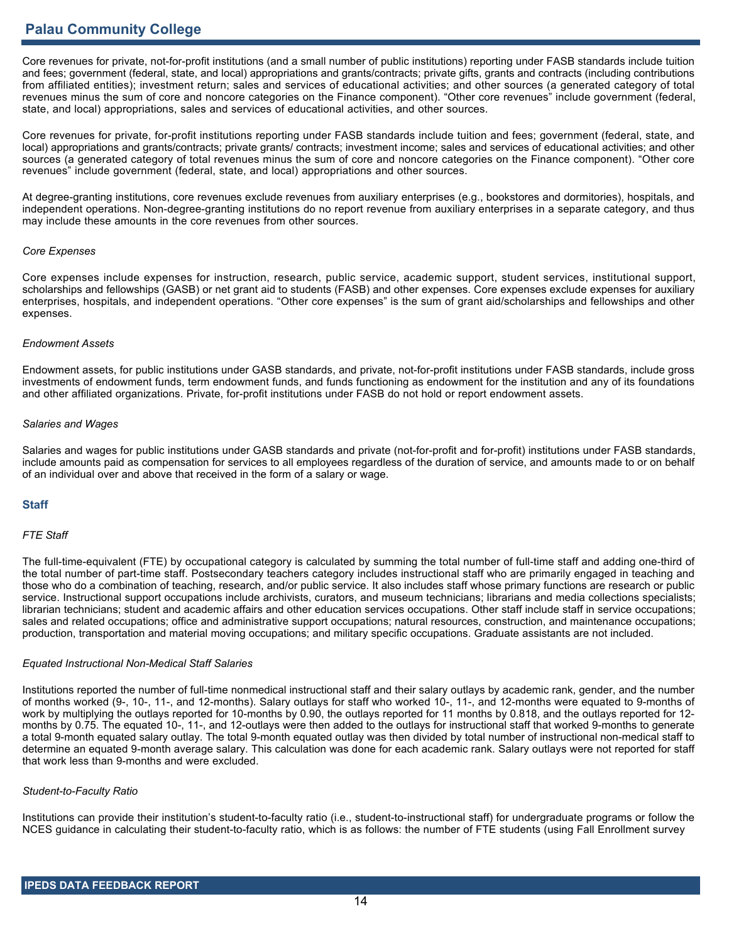# **Palau Community College**

Core revenues for private, not-for-profit institutions (and a small number of public institutions) reporting under FASB standards include tuition and fees; government (federal, state, and local) appropriations and grants/contracts; private gifts, grants and contracts (including contributions from affiliated entities); investment return; sales and services of educational activities; and other sources (a generated category of total revenues minus the sum of core and noncore categories on the Finance component). "Other core revenues" include government (federal, state, and local) appropriations, sales and services of educational activities, and other sources.

Core revenues for private, for-profit institutions reporting under FASB standards include tuition and fees; government (federal, state, and local) appropriations and grants/contracts; private grants/ contracts; investment income; sales and services of educational activities; and other sources (a generated category of total revenues minus the sum of core and noncore categories on the Finance component). "Other core revenues" include government (federal, state, and local) appropriations and other sources.

At degree-granting institutions, core revenues exclude revenues from auxiliary enterprises (e.g., bookstores and dormitories), hospitals, and independent operations. Non-degree-granting institutions do no report revenue from auxiliary enterprises in a separate category, and thus may include these amounts in the core revenues from other sources.

## *Core Expenses*

Core expenses include expenses for instruction, research, public service, academic support, student services, institutional support, scholarships and fellowships (GASB) or net grant aid to students (FASB) and other expenses. Core expenses exclude expenses for auxiliary enterprises, hospitals, and independent operations. "Other core expenses" is the sum of grant aid/scholarships and fellowships and other expenses.

## *Endowment Assets*

Endowment assets, for public institutions under GASB standards, and private, not-for-profit institutions under FASB standards, include gross investments of endowment funds, term endowment funds, and funds functioning as endowment for the institution and any of its foundations and other affiliated organizations. Private, for-profit institutions under FASB do not hold or report endowment assets.

## *Salaries and Wages*

Salaries and wages for public institutions under GASB standards and private (not-for-profit and for-profit) institutions under FASB standards, include amounts paid as compensation for services to all employees regardless of the duration of service, and amounts made to or on behalf of an individual over and above that received in the form of a salary or wage.

## **Staff**

## *FTE Staff*

The full-time-equivalent (FTE) by occupational category is calculated by summing the total number of full-time staff and adding one-third of the total number of part-time staff. Postsecondary teachers category includes instructional staff who are primarily engaged in teaching and those who do a combination of teaching, research, and/or public service. It also includes staff whose primary functions are research or public service. Instructional support occupations include archivists, curators, and museum technicians; librarians and media collections specialists; librarian technicians; student and academic affairs and other education services occupations. Other staff include staff in service occupations; sales and related occupations; office and administrative support occupations; natural resources, construction, and maintenance occupations; production, transportation and material moving occupations; and military specific occupations. Graduate assistants are not included.

## *Equated Instructional Non-Medical Staff Salaries*

Institutions reported the number of full-time nonmedical instructional staff and their salary outlays by academic rank, gender, and the number of months worked (9-, 10-, 11-, and 12-months). Salary outlays for staff who worked 10-, 11-, and 12-months were equated to 9-months of work by multiplying the outlays reported for 10-months by 0.90, the outlays reported for 11 months by 0.818, and the outlays reported for 12 months by 0.75. The equated 10-, 11-, and 12-outlays were then added to the outlays for instructional staff that worked 9-months to generate a total 9-month equated salary outlay. The total 9-month equated outlay was then divided by total number of instructional non-medical staff to determine an equated 9-month average salary. This calculation was done for each academic rank. Salary outlays were not reported for staff that work less than 9-months and were excluded.

## *Student-to-Faculty Ratio*

Institutions can provide their institution's student-to-faculty ratio (i.e., student-to-instructional staff) for undergraduate programs or follow the NCES guidance in calculating their student-to-faculty ratio, which is as follows: the number of FTE students (using Fall Enrollment survey